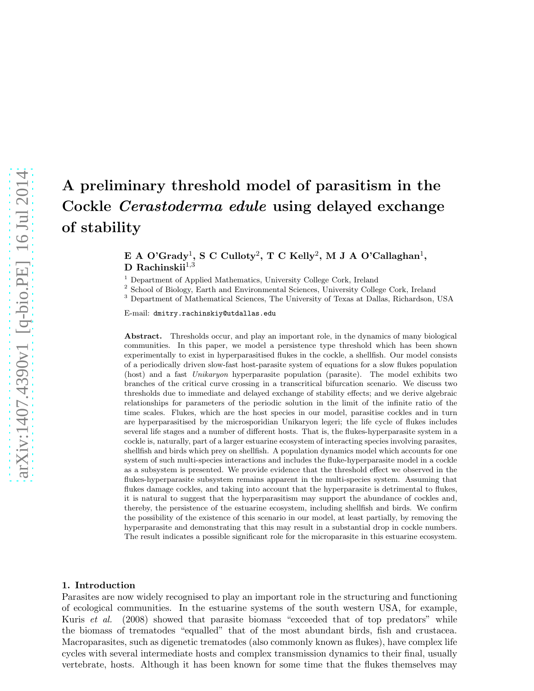# A preliminary threshold model of parasitism in the Cockle Cerastoderma edule using delayed exchange of stability

 $\boldsymbol{\mathrm{E}}$  A O'Grady $^1,$  S C Culloty $^2,$  T C Kelly $^2,$  M J A O'Callaghan $^1,$ D Rachinskii $^{1,3}$ 

<sup>1</sup> Department of Applied Mathematics, University College Cork, Ireland

<sup>2</sup> School of Biology, Earth and Environmental Sciences, University College Cork, Ireland

<sup>3</sup> Department of Mathematical Sciences, The University of Texas at Dallas, Richardson, USA

E-mail: dmitry.rachinskiy@utdallas.edu

Abstract. Thresholds occur, and play an important role, in the dynamics of many biological communities. In this paper, we model a persistence type threshold which has been shown experimentally to exist in hyperparasitised flukes in the cockle, a shellfish. Our model consists of a periodically driven slow-fast host-parasite system of equations for a slow flukes population (host) and a fast *Unikaryon* hyperparasite population (parasite). The model exhibits two branches of the critical curve crossing in a transcritical bifurcation scenario. We discuss two thresholds due to immediate and delayed exchange of stability effects; and we derive algebraic relationships for parameters of the periodic solution in the limit of the infinite ratio of the time scales. Flukes, which are the host species in our model, parasitise cockles and in turn are hyperparasitised by the microsporidian Unikaryon legeri; the life cycle of flukes includes several life stages and a number of different hosts. That is, the flukes-hyperparasite system in a cockle is, naturally, part of a larger estuarine ecosystem of interacting species involving parasites, shellfish and birds which prey on shellfish. A population dynamics model which accounts for one system of such multi-species interactions and includes the fluke-hyperparasite model in a cockle as a subsystem is presented. We provide evidence that the threshold effect we observed in the flukes-hyperparasite subsystem remains apparent in the multi-species system. Assuming that flukes damage cockles, and taking into account that the hyperparasite is detrimental to flukes, it is natural to suggest that the hyperparasitism may support the abundance of cockles and, thereby, the persistence of the estuarine ecosystem, including shellfish and birds. We confirm the possibility of the existence of this scenario in our model, at least partially, by removing the hyperparasite and demonstrating that this may result in a substantial drop in cockle numbers. The result indicates a possible significant role for the microparasite in this estuarine ecosystem.

# 1. Introduction

Parasites are now widely recognised to play an important role in the structuring and functioning of ecological communities. In the estuarine systems of the south western USA, for example, Kuris et al. (2008) showed that parasite biomass "exceeded that of top predators" while the biomass of trematodes "equalled" that of the most abundant birds, fish and crustacea. Macroparasites, such as digenetic trematodes (also commonly known as flukes), have complex life cycles with several intermediate hosts and complex transmission dynamics to their final, usually vertebrate, hosts. Although it has been known for some time that the flukes themselves may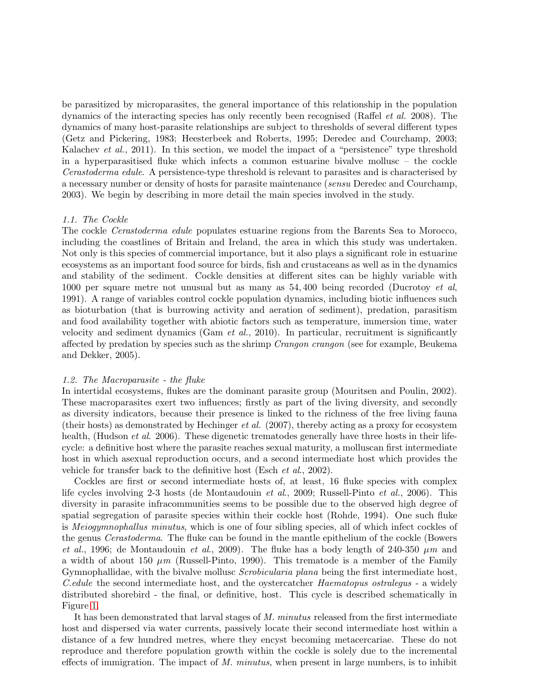be parasitized by microparasites, the general importance of this relationship in the population dynamics of the interacting species has only recently been recognised (Raffel et al. 2008). The dynamics of many host-parasite relationships are subject to thresholds of several different types (Getz and Pickering, 1983; Heesterbeek and Roberts, 1995; Deredec and Courchamp, 2003; Kalachev *et al.*, 2011). In this section, we model the impact of a "persistence" type threshold in a hyperparasitised fluke which infects a common estuarine bivalve mollusc – the cockle Cerastoderma edule. A persistence-type threshold is relevant to parasites and is characterised by a necessary number or density of hosts for parasite maintenance (sensu Deredec and Courchamp, 2003). We begin by describing in more detail the main species involved in the study.

# 1.1. The Cockle

The cockle Cerastoderma edule populates estuarine regions from the Barents Sea to Morocco, including the coastlines of Britain and Ireland, the area in which this study was undertaken. Not only is this species of commercial importance, but it also plays a significant role in estuarine ecosystems as an important food source for birds, fish and crustaceans as well as in the dynamics and stability of the sediment. Cockle densities at different sites can be highly variable with 1000 per square metre not unusual but as many as 54,400 being recorded (Ducrotoy *et al*, 1991). A range of variables control cockle population dynamics, including biotic influences such as bioturbation (that is burrowing activity and aeration of sediment), predation, parasitism and food availability together with abiotic factors such as temperature, immersion time, water velocity and sediment dynamics (Gam  $et$  al., 2010). In particular, recruitment is significantly affected by predation by species such as the shrimp *Crangon crangon* (see for example, Beukema and Dekker, 2005).

## 1.2. The Macroparasite - the fluke

In intertidal ecosystems, flukes are the dominant parasite group (Mouritsen and Poulin, 2002). These macroparasites exert two influences; firstly as part of the living diversity, and secondly as diversity indicators, because their presence is linked to the richness of the free living fauna (their hosts) as demonstrated by Hechinger *et al.* (2007), thereby acting as a proxy for ecosystem health, (Hudson *et al.* 2006). These digenetic trematodes generally have three hosts in their lifecycle: a definitive host where the parasite reaches sexual maturity, a molluscan first intermediate host in which asexual reproduction occurs, and a second intermediate host which provides the vehicle for transfer back to the definitive host (Esch et al., 2002).

Cockles are first or second intermediate hosts of, at least, 16 fluke species with complex life cycles involving 2-3 hosts (de Montaudouin et al., 2009; Russell-Pinto et al., 2006). This diversity in parasite infracommunities seems to be possible due to the observed high degree of spatial segregation of parasite species within their cockle host (Rohde, 1994). One such fluke is Meiogymnophallus minutus, which is one of four sibling species, all of which infect cockles of the genus Cerastoderma. The fluke can be found in the mantle epithelium of the cockle (Bowers et al., 1996; de Montaudouin et al., 2009). The fluke has a body length of 240-350  $\mu$ m and a width of about 150  $\mu$ m (Russell-Pinto, 1990). This trematode is a member of the Family Gymnophallidae, with the bivalve mollusc Scrobicularia plana being the first intermediate host, C.edule the second intermediate host, and the oystercatcher Haematopus ostralegus - a widely distributed shorebird - the final, or definitive, host. This cycle is described schematically in Figure [1.](#page-2-0)

It has been demonstrated that larval stages of M. minutus released from the first intermediate host and dispersed via water currents, passively locate their second intermediate host within a distance of a few hundred metres, where they encyst becoming metacercariae. These do not reproduce and therefore population growth within the cockle is solely due to the incremental effects of immigration. The impact of  $M$ . minutus, when present in large numbers, is to inhibit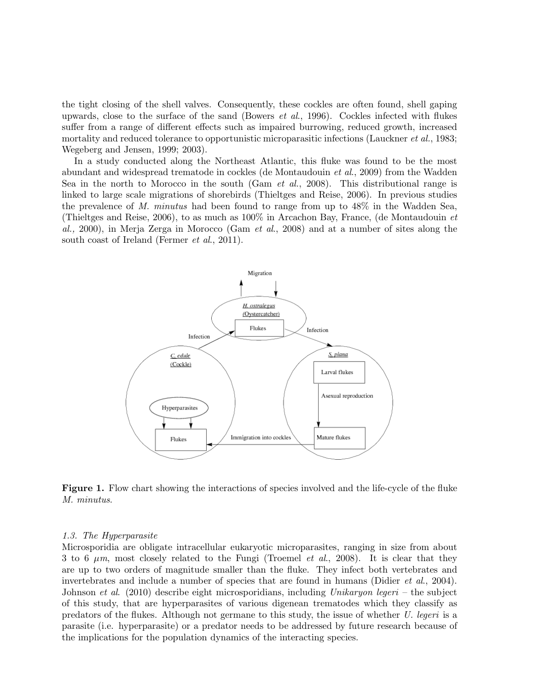the tight closing of the shell valves. Consequently, these cockles are often found, shell gaping upwards, close to the surface of the sand (Bowers *et al.*, 1996). Cockles infected with flukes suffer from a range of different effects such as impaired burrowing, reduced growth, increased mortality and reduced tolerance to opportunistic microparasitic infections (Lauckner *et al.*, 1983; Wegeberg and Jensen, 1999; 2003).

In a study conducted along the Northeast Atlantic, this fluke was found to be the most abundant and widespread trematode in cockles (de Montaudouin et al., 2009) from the Wadden Sea in the north to Morocco in the south (Gam *et al.*, 2008). This distributional range is linked to large scale migrations of shorebirds (Thieltges and Reise, 2006). In previous studies the prevalence of M. minutus had been found to range from up to 48% in the Wadden Sea, (Thieltges and Reise, 2006), to as much as 100% in Arcachon Bay, France, (de Montaudouin et al., 2000), in Merja Zerga in Morocco (Gam *et al.*, 2008) and at a number of sites along the south coast of Ireland (Fermer et al., 2011).



<span id="page-2-0"></span>Figure 1. Flow chart showing the interactions of species involved and the life-cycle of the fluke M. minutus.

# 1.3. The Hyperparasite

Microsporidia are obligate intracellular eukaryotic microparasites, ranging in size from about 3 to 6  $\mu$ m, most closely related to the Fungi (Troemel *et al.*, 2008). It is clear that they are up to two orders of magnitude smaller than the fluke. They infect both vertebrates and invertebrates and include a number of species that are found in humans (Didier *et al.*, 2004). Johnson et al. (2010) describe eight microsporidians, including Unikaryon legeri – the subject of this study, that are hyperparasites of various digenean trematodes which they classify as predators of the flukes. Although not germane to this study, the issue of whether U. legeri is a parasite (i.e. hyperparasite) or a predator needs to be addressed by future research because of the implications for the population dynamics of the interacting species.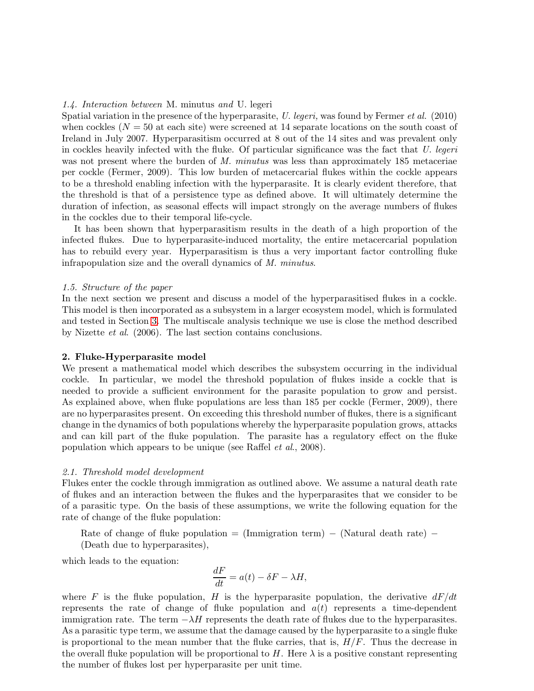## 1.4. Interaction between M. minutus and U. legeri

Spatial variation in the presence of the hyperparasite, U. legeri, was found by Fermer et al. (2010) when cockles  $(N = 50$  at each site) were screened at 14 separate locations on the south coast of Ireland in July 2007. Hyperparasitism occurred at 8 out of the 14 sites and was prevalent only in cockles heavily infected with the fluke. Of particular significance was the fact that U. legeri was not present where the burden of M. minutus was less than approximately 185 metaceriae per cockle (Fermer, 2009). This low burden of metacercarial flukes within the cockle appears to be a threshold enabling infection with the hyperparasite. It is clearly evident therefore, that the threshold is that of a persistence type as defined above. It will ultimately determine the duration of infection, as seasonal effects will impact strongly on the average numbers of flukes in the cockles due to their temporal life-cycle.

It has been shown that hyperparasitism results in the death of a high proportion of the infected flukes. Due to hyperparasite-induced mortality, the entire metacercarial population has to rebuild every year. Hyperparasitism is thus a very important factor controlling fluke infrapopulation size and the overall dynamics of M. minutus.

## 1.5. Structure of the paper

In the next section we present and discuss a model of the hyperparasitised flukes in a cockle. This model is then incorporated as a subsystem in a larger ecosystem model, which is formulated and tested in Section [3.](#page-13-0) The multiscale analysis technique we use is close the method described by Nizette et al. (2006). The last section contains conclusions.

# 2. Fluke-Hyperparasite model

We present a mathematical model which describes the subsystem occurring in the individual cockle. In particular, we model the threshold population of flukes inside a cockle that is needed to provide a sufficient environment for the parasite population to grow and persist. As explained above, when fluke populations are less than 185 per cockle (Fermer, 2009), there are no hyperparasites present. On exceeding this threshold number of flukes, there is a significant change in the dynamics of both populations whereby the hyperparasite population grows, attacks and can kill part of the fluke population. The parasite has a regulatory effect on the fluke population which appears to be unique (see Raffel et al., 2008).

## <span id="page-3-0"></span>2.1. Threshold model development

Flukes enter the cockle through immigration as outlined above. We assume a natural death rate of flukes and an interaction between the flukes and the hyperparasites that we consider to be of a parasitic type. On the basis of these assumptions, we write the following equation for the rate of change of the fluke population:

Rate of change of fluke population = (Immigration term) – (Natural death rate) – (Death due to hyperparasites),

which leads to the equation:

$$
\frac{dF}{dt} = a(t) - \delta F - \lambda H,
$$

where F is the fluke population, H is the hyperparasite population, the derivative  $dF/dt$ represents the rate of change of fluke population and  $a(t)$  represents a time-dependent immigration rate. The term  $-\lambda H$  represents the death rate of flukes due to the hyperparasites. As a parasitic type term, we assume that the damage caused by the hyperparasite to a single fluke is proportional to the mean number that the fluke carries, that is,  $H/F$ . Thus the decrease in the overall fluke population will be proportional to H. Here  $\lambda$  is a positive constant representing the number of flukes lost per hyperparasite per unit time.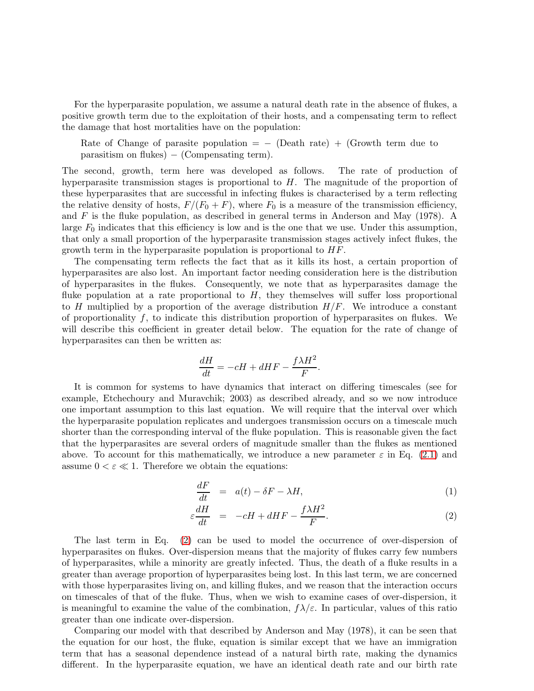For the hyperparasite population, we assume a natural death rate in the absence of flukes, a positive growth term due to the exploitation of their hosts, and a compensating term to reflect the damage that host mortalities have on the population:

Rate of Change of parasite population =  $-$  (Death rate) + (Growth term due to  $parasitism on fluxes) - (Compensating term).$ 

The second, growth, term here was developed as follows. The rate of production of hyperparasite transmission stages is proportional to  $H$ . The magnitude of the proportion of these hyperparasites that are successful in infecting flukes is characterised by a term reflecting the relative density of hosts,  $F/(F_0 + F)$ , where  $F_0$  is a measure of the transmission efficiency, and  $F$  is the fluke population, as described in general terms in Anderson and May (1978). A large  $F_0$  indicates that this efficiency is low and is the one that we use. Under this assumption, that only a small proportion of the hyperparasite transmission stages actively infect flukes, the growth term in the hyperparasite population is proportional to  $HF$ .

The compensating term reflects the fact that as it kills its host, a certain proportion of hyperparasites are also lost. An important factor needing consideration here is the distribution of hyperparasites in the flukes. Consequently, we note that as hyperparasites damage the fluke population at a rate proportional to  $H$ , they themselves will suffer loss proportional to H multiplied by a proportion of the average distribution  $H/F$ . We introduce a constant of proportionality  $f$ , to indicate this distribution proportion of hyperparasites on flukes. We will describe this coefficient in greater detail below. The equation for the rate of change of hyperparasites can then be written as:

$$
\frac{dH}{dt} = -cH + dHF - \frac{f\lambda H^2}{F}.
$$

It is common for systems to have dynamics that interact on differing timescales (see for example, Etchechoury and Muravchik; 2003) as described already, and so we now introduce one important assumption to this last equation. We will require that the interval over which the hyperparasite population replicates and undergoes transmission occurs on a timescale much shorter than the corresponding interval of the fluke population. This is reasonable given the fact that the hyperparasites are several orders of magnitude smaller than the flukes as mentioned above. To account for this mathematically, we introduce a new parameter  $\varepsilon$  in Eq. [\(2.1\)](#page-3-0) and assume  $0 < \varepsilon \ll 1$ . Therefore we obtain the equations:

<span id="page-4-0"></span>
$$
\frac{dF}{dt} = a(t) - \delta F - \lambda H,\tag{1}
$$

$$
\varepsilon \frac{dH}{dt} = -cH + dHF - \frac{f\lambda H^2}{F}.
$$
\n(2)

The last term in Eq. [\(2\)](#page-4-0) can be used to model the occurrence of over-dispersion of hyperparasites on flukes. Over-dispersion means that the majority of flukes carry few numbers of hyperparasites, while a minority are greatly infected. Thus, the death of a fluke results in a greater than average proportion of hyperparasites being lost. In this last term, we are concerned with those hyperparasites living on, and killing flukes, and we reason that the interaction occurs on timescales of that of the fluke. Thus, when we wish to examine cases of over-dispersion, it is meaningful to examine the value of the combination,  $f\lambda/\varepsilon$ . In particular, values of this ratio greater than one indicate over-dispersion.

Comparing our model with that described by Anderson and May (1978), it can be seen that the equation for our host, the fluke, equation is similar except that we have an immigration term that has a seasonal dependence instead of a natural birth rate, making the dynamics different. In the hyperparasite equation, we have an identical death rate and our birth rate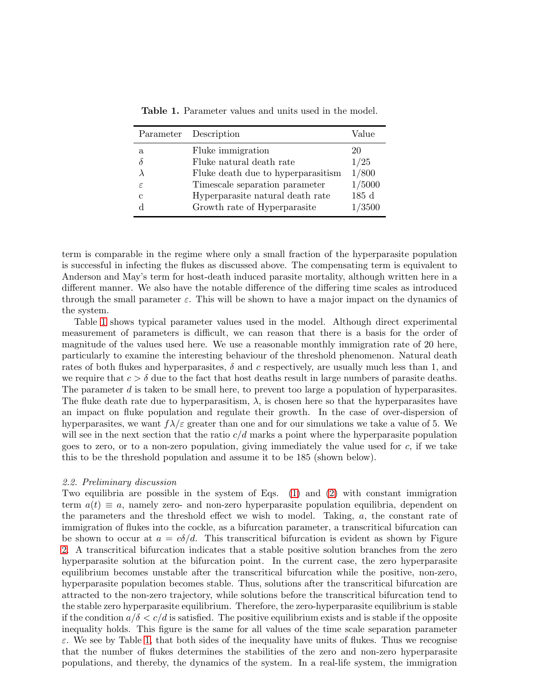|   | Parameter Description              | Value  |
|---|------------------------------------|--------|
| a | Fluke immigration                  | 20     |
|   | Fluke natural death rate           | 1/25   |
|   | Fluke death due to hyperparasitism | 1/800  |
| ε | Timescale separation parameter     | 1/5000 |
| С | Hyperparasite natural death rate   | 185d   |
|   | Growth rate of Hyperparasite       | 1/3500 |

<span id="page-5-0"></span>Table 1. Parameter values and units used in the model.

term is comparable in the regime where only a small fraction of the hyperparasite population is successful in infecting the flukes as discussed above. The compensating term is equivalent to Anderson and May's term for host-death induced parasite mortality, although written here in a different manner. We also have the notable difference of the differing time scales as introduced through the small parameter  $\varepsilon$ . This will be shown to have a major impact on the dynamics of the system.

Table [1](#page-5-0) shows typical parameter values used in the model. Although direct experimental measurement of parameters is difficult, we can reason that there is a basis for the order of magnitude of the values used here. We use a reasonable monthly immigration rate of 20 here, particularly to examine the interesting behaviour of the threshold phenomenon. Natural death rates of both flukes and hyperparasites,  $\delta$  and c respectively, are usually much less than 1, and we require that  $c > \delta$  due to the fact that host deaths result in large numbers of parasite deaths. The parameter d is taken to be small here, to prevent too large a population of hyperparasites. The fluke death rate due to hyperparasitism,  $\lambda$ , is chosen here so that the hyperparasites have an impact on fluke population and regulate their growth. In the case of over-dispersion of hyperparasites, we want  $f\lambda/\varepsilon$  greater than one and for our simulations we take a value of 5. We will see in the next section that the ratio  $c/d$  marks a point where the hyperparasite population goes to zero, or to a non-zero population, giving immediately the value used for  $c$ , if we take this to be the threshold population and assume it to be 185 (shown below).

## 2.2. Preliminary discussion

Two equilibria are possible in the system of Eqs. [\(1\)](#page-4-0) and [\(2\)](#page-4-0) with constant immigration term  $a(t) \equiv a$ , namely zero- and non-zero hyperparasite population equilibria, dependent on the parameters and the threshold effect we wish to model. Taking, a, the constant rate of immigration of flukes into the cockle, as a bifurcation parameter, a transcritical bifurcation can be shown to occur at  $a = c\delta/d$ . This transcritical bifurcation is evident as shown by Figure [2.](#page-6-0) A transcritical bifurcation indicates that a stable positive solution branches from the zero hyperparasite solution at the bifurcation point. In the current case, the zero hyperparasite equilibrium becomes unstable after the transcritical bifurcation while the positive, non-zero, hyperparasite population becomes stable. Thus, solutions after the transcritical bifurcation are attracted to the non-zero trajectory, while solutions before the transcritical bifurcation tend to the stable zero hyperparasite equilibrium. Therefore, the zero-hyperparasite equilibrium is stable if the condition  $a/\delta < c/d$  is satisfied. The positive equilibrium exists and is stable if the opposite inequality holds. This figure is the same for all values of the time scale separation parameter  $\varepsilon$ . We see by Table [1,](#page-5-0) that both sides of the inequality have units of flukes. Thus we recognise that the number of flukes determines the stabilities of the zero and non-zero hyperparasite populations, and thereby, the dynamics of the system. In a real-life system, the immigration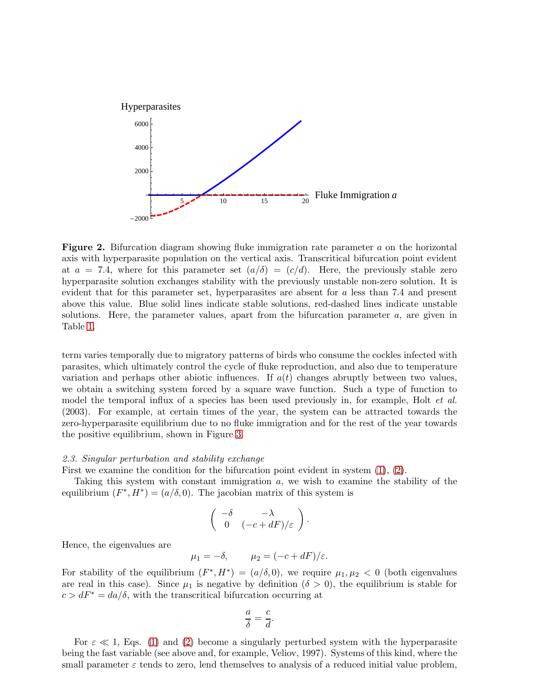

<span id="page-6-0"></span>**Figure 2.** Bifurcation diagram showing fluke immigration rate parameter a on the horizontal axis with hyperparasite population on the vertical axis. Transcritical bifurcation point evident at  $a = 7.4$ , where for this parameter set  $(a/\delta) = (c/d)$ . Here, the previously stable zero hyperparasite solution exchanges stability with the previously unstable non-zero solution. It is evident that for this parameter set, hyperparasites are absent for a less than 7.4 and present above this value. Blue solid lines indicate stable solutions, red-dashed lines indicate unstable solutions. Here, the parameter values, apart from the bifurcation parameter  $a$ , are given in Table [1.](#page-5-0)

term varies temporally due to migratory patterns of birds who consume the cockles infected with parasites, which ultimately control the cycle of fluke reproduction, and also due to temperature variation and perhaps other abiotic influences. If  $a(t)$  changes abruptly between two values, we obtain a switching system forced by a square wave function. Such a type of function to model the temporal influx of a species has been used previously in, for example, Holt *et al.* (2003). For example, at certain times of the year, the system can be attracted towards the zero-hyperparasite equilibrium due to no fluke immigration and for the rest of the year towards the positive equilibrium, shown in Figure [3.](#page-7-0)

## 2.3. Singular perturbation and stability exchange

First we examine the condition for the bifurcation point evident in system [\(1\)](#page-4-0), [\(2\)](#page-4-0).

Taking this system with constant immigration a, we wish to examine the stability of the equilibrium  $(F^*, H^*) = (a/\delta, 0)$ . The jacobian matrix of this system is

$$
\left(\begin{array}{cc} -\delta & -\lambda \\ 0 & (-c + dF)/\varepsilon \end{array}\right).
$$

Hence, the eigenvalues are

$$
\mu_1 = -\delta, \qquad \mu_2 = (-c + dF)/\varepsilon.
$$

For stability of the equilibrium  $(F^*, H^*) = (a/\delta, 0)$ , we require  $\mu_1, \mu_2 < 0$  (both eigenvalues are real in this case). Since  $\mu_1$  is negative by definition  $(\delta > 0)$ , the equilibrium is stable for  $c > dF^* = da/\delta$ , with the transcritical bifurcation occurring at

$$
\frac{a}{\delta} = \frac{c}{d}.
$$

For  $\varepsilon \ll 1$ , Eqs. [\(1\)](#page-4-0) and [\(2\)](#page-4-0) become a singularly perturbed system with the hyperparasite being the fast variable (see above and, for example, Veliov, 1997). Systems of this kind, where the small parameter  $\varepsilon$  tends to zero, lend themselves to analysis of a reduced initial value problem,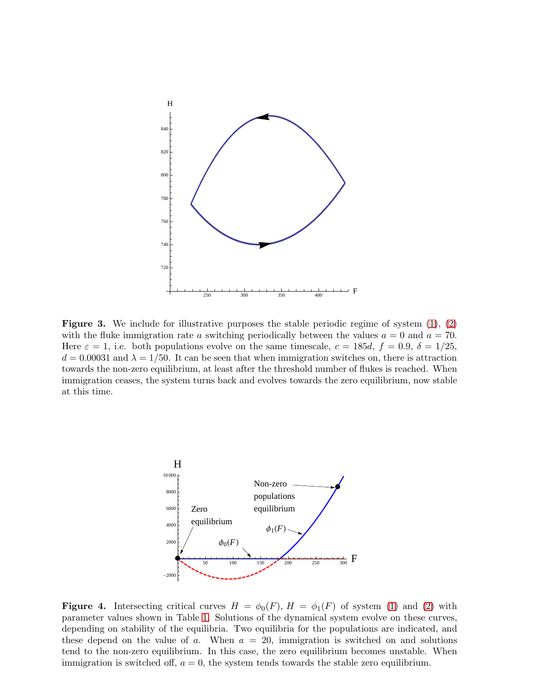

<span id="page-7-0"></span>**Figure 3.** We include for illustrative purposes the stable periodic regime of system  $(1)$ ,  $(2)$ with the fluke immigration rate a switching periodically between the values  $a = 0$  and  $a = 70$ . Here  $\varepsilon = 1$ , i.e. both populations evolve on the same timescale,  $c = 185d$ ,  $f = 0.9$ ,  $\delta = 1/25$ ,  $d = 0.00031$  and  $\lambda = 1/50$ . It can be seen that when immigration switches on, there is attraction towards the non-zero equilibrium, at least after the threshold number of flukes is reached. When immigration ceases, the system turns back and evolves towards the zero equilibrium, now stable at this time.



<span id="page-7-1"></span>Figure 4. Intersecting critical curves  $H = \phi_0(F)$ ,  $H = \phi_1(F)$  of system [\(1\)](#page-4-0) and [\(2\)](#page-4-0) with parameter values shown in Table [1.](#page-5-0) Solutions of the dynamical system evolve on these curves, depending on stability of the equilibria. Two equilibria for the populations are indicated, and these depend on the value of a. When  $a = 20$ , immigration is switched on and solutions tend to the non-zero equilibrium. In this case, the zero equilibrium becomes unstable. When immigration is switched off,  $a = 0$ , the system tends towards the stable zero equilibrium.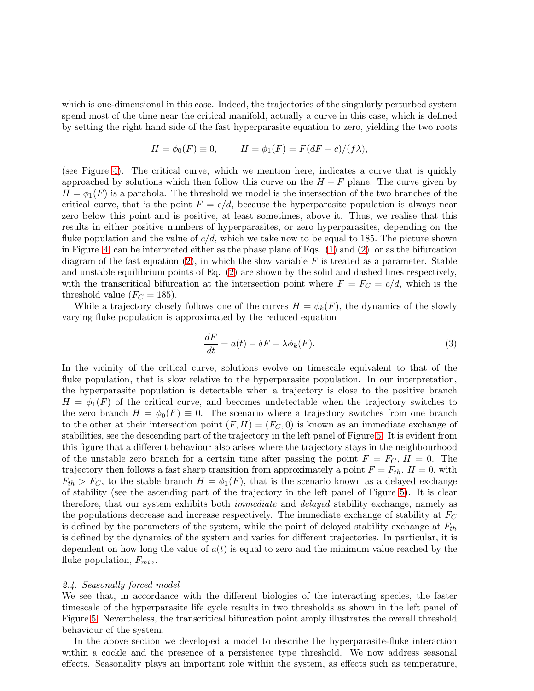which is one-dimensional in this case. Indeed, the trajectories of the singularly perturbed system spend most of the time near the critical manifold, actually a curve in this case, which is defined by setting the right hand side of the fast hyperparasite equation to zero, yielding the two roots

$$
H = \phi_0(F) \equiv 0, \qquad H = \phi_1(F) = F(dF - c)/(f\lambda),
$$

(see Figure [4\)](#page-7-1). The critical curve, which we mention here, indicates a curve that is quickly approached by solutions which then follow this curve on the  $H - F$  plane. The curve given by  $H = \phi_1(F)$  is a parabola. The threshold we model is the intersection of the two branches of the critical curve, that is the point  $F = c/d$ , because the hyperparasite population is always near zero below this point and is positive, at least sometimes, above it. Thus, we realise that this results in either positive numbers of hyperparasites, or zero hyperparasites, depending on the fluke population and the value of  $c/d$ , which we take now to be equal to 185. The picture shown in Figure [4,](#page-7-1) can be interpreted either as the phase plane of Eqs. [\(1\)](#page-4-0) and [\(2\)](#page-4-0), or as the bifurcation diagram of the fast equation  $(2)$ , in which the slow variable F is treated as a parameter. Stable and unstable equilibrium points of Eq. [\(2\)](#page-4-0) are shown by the solid and dashed lines respectively, with the transcritical bifurcation at the intersection point where  $F = F<sub>C</sub> = c/d$ , which is the threshold value  $(F_C = 185)$ .

While a trajectory closely follows one of the curves  $H = \phi_k(F)$ , the dynamics of the slowly varying fluke population is approximated by the reduced equation

<span id="page-8-0"></span>
$$
\frac{dF}{dt} = a(t) - \delta F - \lambda \phi_k(F). \tag{3}
$$

In the vicinity of the critical curve, solutions evolve on timescale equivalent to that of the fluke population, that is slow relative to the hyperparasite population. In our interpretation, the hyperparasite population is detectable when a trajectory is close to the positive branch  $H = \phi_1(F)$  of the critical curve, and becomes undetectable when the trajectory switches to the zero branch  $H = \phi_0(F) \equiv 0$ . The scenario where a trajectory switches from one branch to the other at their intersection point  $(F, H) = (F_C, 0)$  is known as an immediate exchange of stabilities, see the descending part of the trajectory in the left panel of Figure [5.](#page-9-0) It is evident from this figure that a different behaviour also arises where the trajectory stays in the neighbourhood of the unstable zero branch for a certain time after passing the point  $F = F_C$ ,  $H = 0$ . The trajectory then follows a fast sharp transition from approximately a point  $F = F_{th}$ ,  $H = 0$ , with  $F_{th} > F_C$ , to the stable branch  $H = \phi_1(F)$ , that is the scenario known as a delayed exchange of stability (see the ascending part of the trajectory in the left panel of Figure [5\)](#page-9-0). It is clear therefore, that our system exhibits both *immediate* and *delayed* stability exchange, namely as the populations decrease and increase respectively. The immediate exchange of stability at  $F_C$ is defined by the parameters of the system, while the point of delayed stability exchange at  $F_{th}$ is defined by the dynamics of the system and varies for different trajectories. In particular, it is dependent on how long the value of  $a(t)$  is equal to zero and the minimum value reached by the fluke population,  $F_{min}$ .

# 2.4. Seasonally forced model

We see that, in accordance with the different biologies of the interacting species, the faster timescale of the hyperparasite life cycle results in two thresholds as shown in the left panel of Figure [5.](#page-9-0) Nevertheless, the transcritical bifurcation point amply illustrates the overall threshold behaviour of the system.

In the above section we developed a model to describe the hyperparasite-fluke interaction within a cockle and the presence of a persistence–type threshold. We now address seasonal effects. Seasonality plays an important role within the system, as effects such as temperature,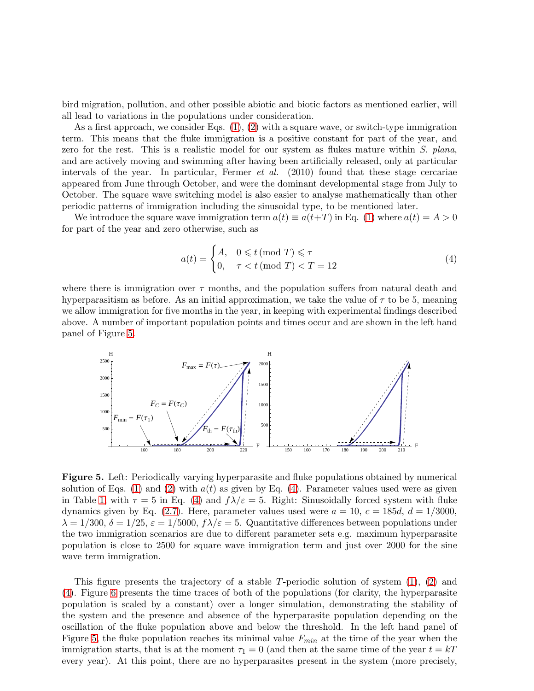bird migration, pollution, and other possible abiotic and biotic factors as mentioned earlier, will all lead to variations in the populations under consideration.

As a first approach, we consider Eqs. [\(1\)](#page-4-0), [\(2\)](#page-4-0) with a square wave, or switch-type immigration term. This means that the fluke immigration is a positive constant for part of the year, and zero for the rest. This is a realistic model for our system as flukes mature within S. plana, and are actively moving and swimming after having been artificially released, only at particular intervals of the year. In particular, Fermer et al. (2010) found that these stage cercariae appeared from June through October, and were the dominant developmental stage from July to October. The square wave switching model is also easier to analyse mathematically than other periodic patterns of immigration including the sinusoidal type, to be mentioned later.

We introduce the square wave immigration term  $a(t) \equiv a(t+T)$  in Eq. [\(1\)](#page-4-0) where  $a(t) = A > 0$ for part of the year and zero otherwise, such as

<span id="page-9-1"></span>
$$
a(t) = \begin{cases} A, & 0 \leq t \text{ (mod } T) \leq \tau \\ 0, & \tau < t \text{ (mod } T) < T = 12 \end{cases}
$$
(4)

where there is immigration over  $\tau$  months, and the population suffers from natural death and hyperparasitism as before. As an initial approximation, we take the value of  $\tau$  to be 5, meaning we allow immigration for five months in the year, in keeping with experimental findings described above. A number of important population points and times occur and are shown in the left hand panel of Figure [5.](#page-9-0)



<span id="page-9-0"></span>Figure 5. Left: Periodically varying hyperparasite and fluke populations obtained by numerical solution of Eqs. [\(1\)](#page-4-0) and [\(2\)](#page-4-0) with  $a(t)$  as given by Eq. [\(4\)](#page-9-1). Parameter values used were as given in Table [1,](#page-5-0) with  $\tau = 5$  in Eq. [\(4\)](#page-9-1) and  $f\lambda/\varepsilon = 5$ . Right: Sinusoidally forced system with fluke dynamics given by Eq. [\(2.7\)](#page-12-0). Here, parameter values used were  $a = 10$ ,  $c = 185d$ ,  $d = 1/3000$ ,  $\lambda = 1/300, \delta = 1/25, \epsilon = 1/5000, f\lambda/\epsilon = 5$ . Quantitative differences between populations under the two immigration scenarios are due to different parameter sets e.g. maximum hyperparasite population is close to 2500 for square wave immigration term and just over 2000 for the sine wave term immigration.

This figure presents the trajectory of a stable T-periodic solution of system  $(1)$ ,  $(2)$  and [\(4\)](#page-9-1). Figure [6](#page-10-0) presents the time traces of both of the populations (for clarity, the hyperparasite population is scaled by a constant) over a longer simulation, demonstrating the stability of the system and the presence and absence of the hyperparasite population depending on the oscillation of the fluke population above and below the threshold. In the left hand panel of Figure [5,](#page-9-0) the fluke population reaches its minimal value  $F_{min}$  at the time of the year when the immigration starts, that is at the moment  $\tau_1 = 0$  (and then at the same time of the year  $t = kT$ every year). At this point, there are no hyperparasites present in the system (more precisely,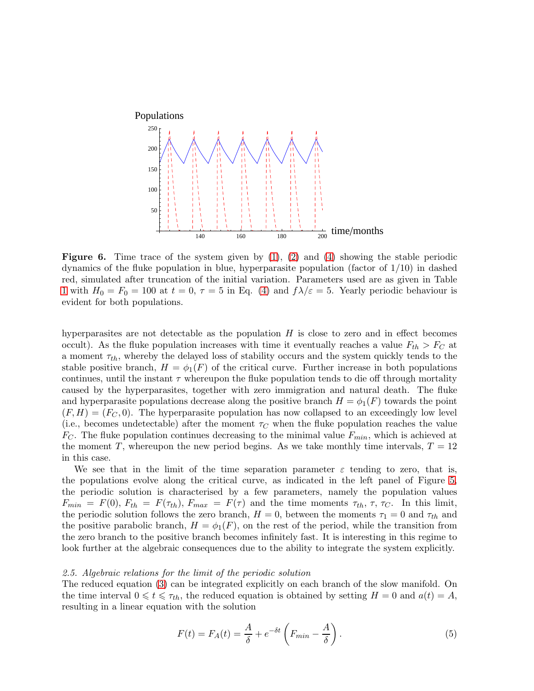

<span id="page-10-0"></span>**Figure 6.** Time trace of the system given by  $(1)$ ,  $(2)$  and  $(4)$  showing the stable periodic dynamics of the fluke population in blue, hyperparasite population (factor of 1/10) in dashed red, simulated after truncation of the initial variation. Parameters used are as given in Table [1](#page-5-0) with  $H_0 = F_0 = 100$  at  $t = 0, \tau = 5$  in Eq. [\(4\)](#page-9-1) and  $f\lambda/\varepsilon = 5$ . Yearly periodic behaviour is evident for both populations.

hyperparasites are not detectable as the population  $H$  is close to zero and in effect becomes occult). As the fluke population increases with time it eventually reaches a value  $F_{th} > F_C$  at a moment  $\tau_{th}$ , whereby the delayed loss of stability occurs and the system quickly tends to the stable positive branch,  $H = \phi_1(F)$  of the critical curve. Further increase in both populations continues, until the instant  $\tau$  whereupon the fluke population tends to die off through mortality caused by the hyperparasites, together with zero immigration and natural death. The fluke and hyperparasite populations decrease along the positive branch  $H = \phi_1(F)$  towards the point  $(F, H) = (F_C, 0)$ . The hyperparasite population has now collapsed to an exceedingly low level (i.e., becomes undetectable) after the moment  $\tau_C$  when the fluke population reaches the value  $F_C$ . The fluke population continues decreasing to the minimal value  $F_{min}$ , which is achieved at the moment T, whereupon the new period begins. As we take monthly time intervals,  $T = 12$ in this case.

We see that in the limit of the time separation parameter  $\varepsilon$  tending to zero, that is, the populations evolve along the critical curve, as indicated in the left panel of Figure [5,](#page-9-0) the periodic solution is characterised by a few parameters, namely the population values  $F_{min} = F(0), F_{th} = F(\tau_{th}), F_{max} = F(\tau)$  and the time moments  $\tau_{th}$ ,  $\tau$ ,  $\tau_C$ . In this limit, the periodic solution follows the zero branch,  $H = 0$ , between the moments  $\tau_1 = 0$  and  $\tau_{th}$  and the positive parabolic branch,  $H = \phi_1(F)$ , on the rest of the period, while the transition from the zero branch to the positive branch becomes infinitely fast. It is interesting in this regime to look further at the algebraic consequences due to the ability to integrate the system explicitly.

# 2.5. Algebraic relations for the limit of the periodic solution

The reduced equation [\(3\)](#page-8-0) can be integrated explicitly on each branch of the slow manifold. On the time interval  $0 \leq t \leq \tau_{th}$ , the reduced equation is obtained by setting  $H = 0$  and  $a(t) = A$ , resulting in a linear equation with the solution

<span id="page-10-1"></span>
$$
F(t) = F_A(t) = \frac{A}{\delta} + e^{-\delta t} \left( F_{min} - \frac{A}{\delta} \right). \tag{5}
$$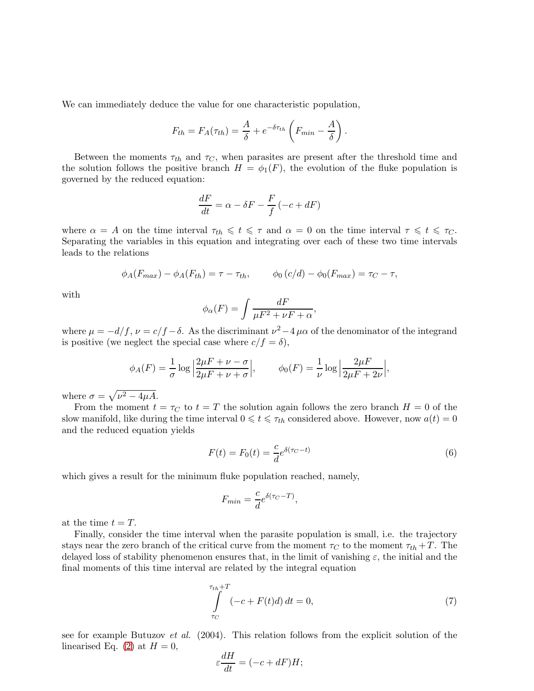We can immediately deduce the value for one characteristic population,

$$
F_{th} = F_A(\tau_{th}) = \frac{A}{\delta} + e^{-\delta \tau_{th}} \left( F_{min} - \frac{A}{\delta} \right).
$$

Between the moments  $\tau_{th}$  and  $\tau_C$ , when parasites are present after the threshold time and the solution follows the positive branch  $H = \phi_1(F)$ , the evolution of the fluke population is governed by the reduced equation:

$$
\frac{dF}{dt} = \alpha - \delta F - \frac{F}{f}(-c + dF)
$$

where  $\alpha = A$  on the time interval  $\tau_{th} \leq t \leq \tau$  and  $\alpha = 0$  on the time interval  $\tau \leq t \leq \tau_C$ . Separating the variables in this equation and integrating over each of these two time intervals leads to the relations

$$
\phi_A(F_{max}) - \phi_A(F_{th}) = \tau - \tau_{th}, \qquad \phi_0(c/d) - \phi_0(F_{max}) = \tau_C - \tau,
$$

with

$$
\phi_{\alpha}(F) = \int \frac{dF}{\mu F^2 + \nu F + \alpha},
$$

where  $\mu = -d/f$ ,  $\nu = c/f - \delta$ . As the discriminant  $\nu^2 - 4 \mu \alpha$  of the denominator of the integrand is positive (we neglect the special case where  $c/f = \delta$ ),

$$
\phi_A(F) = \frac{1}{\sigma} \log \left| \frac{2\mu F + \nu - \sigma}{2\mu F + \nu + \sigma} \right|, \qquad \phi_0(F) = \frac{1}{\nu} \log \left| \frac{2\mu F}{2\mu F + 2\nu} \right|,
$$

where  $\sigma = \sqrt{\nu^2 - 4\mu A}$ .

From the moment  $t = \tau_C$  to  $t = T$  the solution again follows the zero branch  $H = 0$  of the slow manifold, like during the time interval  $0 \leq t \leq \tau_{th}$  considered above. However, now  $a(t) = 0$ and the reduced equation yields

<span id="page-11-1"></span>
$$
F(t) = F_0(t) = \frac{c}{d}e^{\delta(\tau_C - t)}
$$
\n
$$
\tag{6}
$$

which gives a result for the minimum fluke population reached, namely,

$$
F_{min} = \frac{c}{d} e^{\delta(\tau_C - T)},
$$

at the time  $t = T$ .

Finally, consider the time interval when the parasite population is small, i.e. the trajectory stays near the zero branch of the critical curve from the moment  $\tau_C$  to the moment  $\tau_{th} + T$ . The delayed loss of stability phenomenon ensures that, in the limit of vanishing  $\varepsilon$ , the initial and the final moments of this time interval are related by the integral equation

<span id="page-11-0"></span>
$$
\int_{\tau_C}^{\tau_{th}+T} (-c + F(t)d) dt = 0,
$$
\n(7)

see for example Butuzov et al. (2004). This relation follows from the explicit solution of the linearised Eq. [\(2\)](#page-4-0) at  $H = 0$ ,

$$
\varepsilon \frac{dH}{dt} = (-c + dF)H;
$$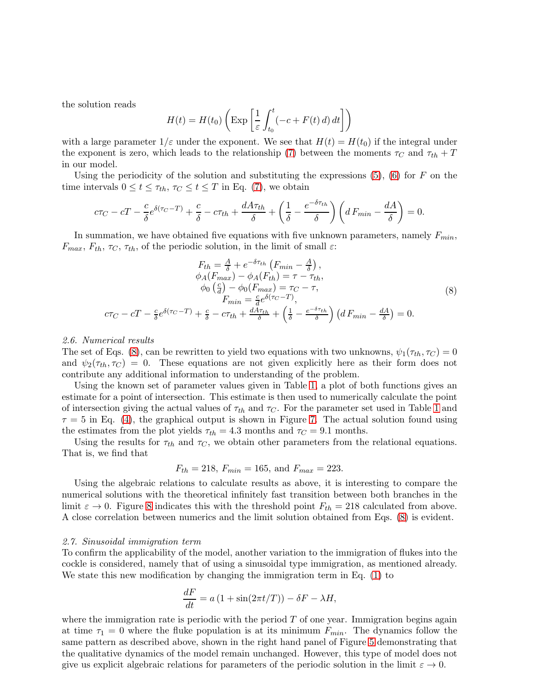the solution reads

$$
H(t) = H(t_0) \left( \text{Exp}\left[\frac{1}{\varepsilon} \int_{t_0}^t (-c + F(t) \, d) \, dt\right] \right)
$$

with a large parameter  $1/\varepsilon$  under the exponent. We see that  $H(t) = H(t_0)$  if the integral under the exponent is zero, which leads to the relationship [\(7\)](#page-11-0) between the moments  $\tau_C$  and  $\tau_{th} + T$ in our model.

Using the periodicity of the solution and substituting the expressions  $(5)$ ,  $(6)$  for F on the time intervals  $0 \le t \le \tau_{th}$ ,  $\tau_C \le t \le T$  in Eq. [\(7\)](#page-11-0), we obtain

$$
c\tau_C - cT - \frac{c}{\delta}e^{\delta(\tau_C - T)} + \frac{c}{\delta} - c\tau_{th} + \frac{dA\tau_{th}}{\delta} + \left(\frac{1}{\delta} - \frac{e^{-\delta\tau_{th}}}{\delta}\right)\left(dF_{min} - \frac{dA}{\delta}\right) = 0.
$$

In summation, we have obtained five equations with five unknown parameters, namely  $F_{min}$ ,  $F_{max}$ ,  $F_{th}$ ,  $\tau_C$ ,  $\tau_{th}$ , of the periodic solution, in the limit of small  $\varepsilon$ :

<span id="page-12-1"></span>
$$
F_{th} = \frac{A}{\delta} + e^{-\delta \tau_{th}} \left( F_{min} - \frac{A}{\delta} \right),
$$
  
\n
$$
\phi_A(F_{max}) - \phi_A(F_{th}) = \tau - \tau_{th},
$$
  
\n
$$
\phi_0 \left( \frac{c}{d} \right) - \phi_0(F_{max}) = \tau_C - \tau,
$$
  
\n
$$
F_{min} = \frac{c}{d} e^{\delta(\tau_C - T)},
$$
  
\n
$$
c\tau_C - cT - \frac{c}{\delta} e^{\delta(\tau_C - T)} + \frac{c}{\delta} - c\tau_{th} + \frac{dA\tau_{th}}{\delta} + \left( \frac{1}{\delta} - \frac{e^{-\delta \tau_{th}}}{\delta} \right) \left( d F_{min} - \frac{dA}{\delta} \right) = 0.
$$
  
\n(8)

## 2.6. Numerical results

The set of Eqs. [\(8\)](#page-12-1), can be rewritten to yield two equations with two unknowns,  $\psi_1(\tau_{th}, \tau_C) = 0$ and  $\psi_2(\tau_{th}, \tau_C) = 0$ . These equations are not given explicitly here as their form does not contribute any additional information to understanding of the problem.

Using the known set of parameter values given in Table [1,](#page-5-0) a plot of both functions gives an estimate for a point of intersection. This estimate is then used to numerically calculate the point of intersection giving the actual values of  $\tau_{th}$  and  $\tau_C$ . For the parameter set used in Table [1](#page-5-0) and  $\tau = 5$  in Eq. [\(4\)](#page-9-1), the graphical output is shown in Figure [7.](#page-13-1) The actual solution found using the estimates from the plot yields  $\tau_{th} = 4.3$  months and  $\tau_C = 9.1$  months.

Using the results for  $\tau_{th}$  and  $\tau_C$ , we obtain other parameters from the relational equations. That is, we find that

$$
F_{th} = 218
$$
,  $F_{min} = 165$ , and  $F_{max} = 223$ .

Using the algebraic relations to calculate results as above, it is interesting to compare the numerical solutions with the theoretical infinitely fast transition between both branches in the limit  $\varepsilon \to 0$ . Figure [8](#page-13-2) indicates this with the threshold point  $F_{th} = 218$  calculated from above. A close correlation between numerics and the limit solution obtained from Eqs. [\(8\)](#page-12-1) is evident.

#### <span id="page-12-0"></span>2.7. Sinusoidal immigration term

To confirm the applicability of the model, another variation to the immigration of flukes into the cockle is considered, namely that of using a sinusoidal type immigration, as mentioned already. We state this new modification by changing the immigration term in Eq. [\(1\)](#page-4-0) to

$$
\frac{dF}{dt} = a\left(1 + \sin(2\pi t/T)\right) - \delta F - \lambda H,
$$

where the immigration rate is periodic with the period  $T$  of one year. Immigration begins again at time  $\tau_1 = 0$  where the fluke population is at its minimum  $F_{min}$ . The dynamics follow the same pattern as described above, shown in the right hand panel of Figure [5](#page-9-0) demonstrating that the qualitative dynamics of the model remain unchanged. However, this type of model does not give us explicit algebraic relations for parameters of the periodic solution in the limit  $\varepsilon \to 0$ .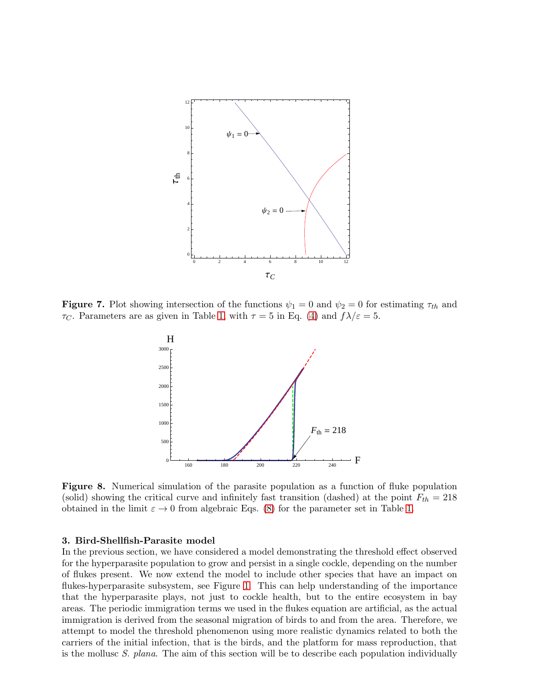

**Figure 7.** Plot showing intersection of the functions  $\psi_1 = 0$  and  $\psi_2 = 0$  for estimating  $\tau_{th}$  and  $\tau_C$ . Parameters are as given in Table [1,](#page-5-0) with  $\tau = 5$  in Eq. [\(4\)](#page-9-1) and  $f\lambda/\varepsilon = 5$ .

<span id="page-13-1"></span>

<span id="page-13-2"></span>Figure 8. Numerical simulation of the parasite population as a function of fluke population (solid) showing the critical curve and infinitely fast transition (dashed) at the point  $F_{th} = 218$ obtained in the limit  $\varepsilon \to 0$  from algebraic Eqs. [\(8\)](#page-12-1) for the parameter set in Table [1.](#page-5-0)

# <span id="page-13-0"></span>3. Bird-Shellfish-Parasite model

In the previous section, we have considered a model demonstrating the threshold effect observed for the hyperparasite population to grow and persist in a single cockle, depending on the number of flukes present. We now extend the model to include other species that have an impact on flukes-hyperparasite subsystem, see Figure [1.](#page-2-0) This can help understanding of the importance that the hyperparasite plays, not just to cockle health, but to the entire ecosystem in bay areas. The periodic immigration terms we used in the flukes equation are artificial, as the actual immigration is derived from the seasonal migration of birds to and from the area. Therefore, we attempt to model the threshold phenomenon using more realistic dynamics related to both the carriers of the initial infection, that is the birds, and the platform for mass reproduction, that is the mollusc S. plana. The aim of this section will be to describe each population individually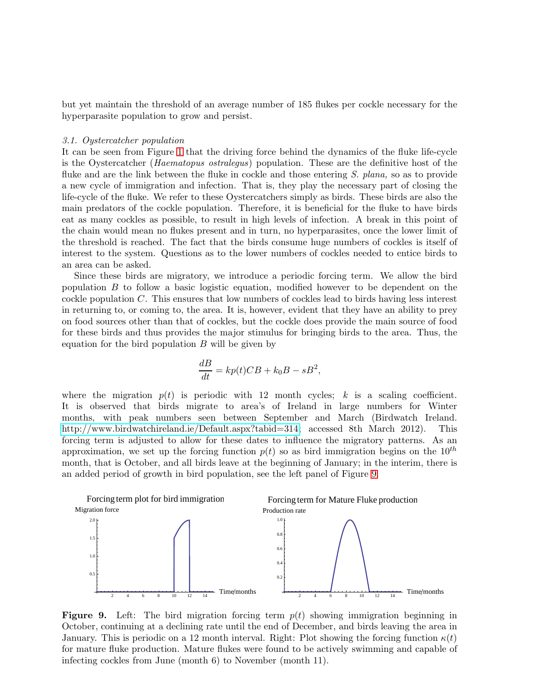but yet maintain the threshold of an average number of 185 flukes per cockle necessary for the hyperparasite population to grow and persist.

#### 3.1. Oystercatcher population

It can be seen from Figure [1](#page-2-0) that the driving force behind the dynamics of the fluke life-cycle is the Oystercatcher (Haematopus ostralegus) population. These are the definitive host of the fluke and are the link between the fluke in cockle and those entering S. plana, so as to provide a new cycle of immigration and infection. That is, they play the necessary part of closing the life-cycle of the fluke. We refer to these Oystercatchers simply as birds. These birds are also the main predators of the cockle population. Therefore, it is beneficial for the fluke to have birds eat as many cockles as possible, to result in high levels of infection. A break in this point of the chain would mean no flukes present and in turn, no hyperparasites, once the lower limit of the threshold is reached. The fact that the birds consume huge numbers of cockles is itself of interest to the system. Questions as to the lower numbers of cockles needed to entice birds to an area can be asked.

Since these birds are migratory, we introduce a periodic forcing term. We allow the bird population B to follow a basic logistic equation, modified however to be dependent on the cockle population  $C$ . This ensures that low numbers of cockles lead to birds having less interest in returning to, or coming to, the area. It is, however, evident that they have an ability to prey on food sources other than that of cockles, but the cockle does provide the main source of food for these birds and thus provides the major stimulus for bringing birds to the area. Thus, the equation for the bird population  $B$  will be given by

$$
\frac{dB}{dt} = kp(t)CB + k_0B - sB^2,
$$

where the migration  $p(t)$  is periodic with 12 month cycles; k is a scaling coefficient. It is observed that birds migrate to area's of Ireland in large numbers for Winter months, with peak numbers seen between September and March (Birdwatch Ireland. [http://www.birdwatchireland.ie/Default.aspx?tabid=314;](http://www.birdwatchireland.ie/Default.aspx?tabid=314) accessed 8th March 2012). This forcing term is adjusted to allow for these dates to influence the migratory patterns. As an approximation, we set up the forcing function  $p(t)$  so as bird immigration begins on the  $10^{th}$ month, that is October, and all birds leave at the beginning of January; in the interim, there is an added period of growth in bird population, see the left panel of Figure [9.](#page-14-0)



<span id="page-14-0"></span>**Figure 9.** Left: The bird migration forcing term  $p(t)$  showing immigration beginning in October, continuing at a declining rate until the end of December, and birds leaving the area in January. This is periodic on a 12 month interval. Right: Plot showing the forcing function  $\kappa(t)$ for mature fluke production. Mature flukes were found to be actively swimming and capable of infecting cockles from June (month 6) to November (month 11).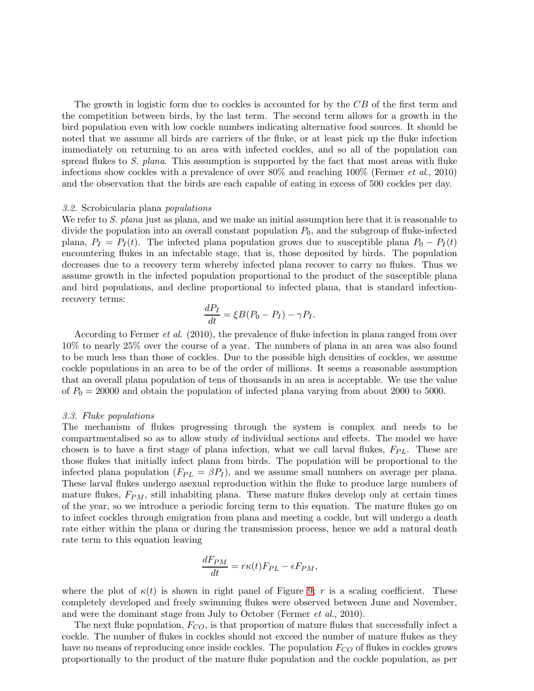The growth in logistic form due to cockles is accounted for by the CB of the first term and the competition between birds, by the last term. The second term allows for a growth in the bird population even with low cockle numbers indicating alternative food sources. It should be noted that we assume all birds are carriers of the fluke, or at least pick up the fluke infection immediately on returning to an area with infected cockles, and so all of the population can spread flukes to S. plana. This assumption is supported by the fact that most areas with fluke infections show cockles with a prevalence of over  $80\%$  and reaching  $100\%$  (Fermer *et al.*, 2010) and the observation that the birds are each capable of eating in excess of 500 cockles per day.

#### 3.2. Scrobicularia plana populations

We refer to S. plana just as plana, and we make an initial assumption here that it is reasonable to divide the population into an overall constant population  $P_0$ , and the subgroup of fluke-infected plana,  $P_I = P_I(t)$ . The infected plana population grows due to susceptible plana  $P_0 - P_I(t)$ encountering flukes in an infectable stage, that is, those deposited by birds. The population decreases due to a recovery term whereby infected plana recover to carry no flukes. Thus we assume growth in the infected population proportional to the product of the susceptible plana and bird populations, and decline proportional to infected plana, that is standard infectionrecovery terms:

$$
\frac{dP_I}{dt} = \xi B(P_0 - P_I) - \gamma P_I.
$$

According to Fermer *et al.* (2010), the prevalence of fluke infection in plana ranged from over 10% to nearly 25% over the course of a year. The numbers of plana in an area was also found to be much less than those of cockles. Due to the possible high densities of cockles, we assume cockle populations in an area to be of the order of millions. It seems a reasonable assumption that an overall plana population of tens of thousands in an area is acceptable. We use the value of  $P_0 = 20000$  and obtain the population of infected plana varying from about 2000 to 5000.

# 3.3. Fluke populations

The mechanism of flukes progressing through the system is complex and needs to be compartmentalised so as to allow study of individual sections and effects. The model we have chosen is to have a first stage of plana infection, what we call larval flukes,  $F_{PL}$ . These are those flukes that initially infect plana from birds. The population will be proportional to the infected plana population  $(F_{PL} = \beta P_I)$ , and we assume small numbers on average per plana. These larval flukes undergo asexual reproduction within the fluke to produce large numbers of mature flukes,  $F_{PM}$ , still inhabiting plana. These mature flukes develop only at certain times of the year, so we introduce a periodic forcing term to this equation. The mature flukes go on to infect cockles through emigration from plana and meeting a cockle, but will undergo a death rate either within the plana or during the transmission process, hence we add a natural death rate term to this equation leaving

$$
\frac{dF_{PM}}{dt} = r\kappa(t)F_{PL} - \epsilon F_{PM},
$$

where the plot of  $\kappa(t)$  is shown in right panel of Figure [9;](#page-14-0) r is a scaling coefficient. These completely developed and freely swimming flukes were observed between June and November, and were the dominant stage from July to October (Fermer *et al.*, 2010).

The next fluke population,  $F_{CO}$ , is that proportion of mature flukes that successfully infect a cockle. The number of flukes in cockles should not exceed the number of mature flukes as they have no means of reproducing once inside cockles. The population  $F_{CO}$  of flukes in cockles grows proportionally to the product of the mature fluke population and the cockle population, as per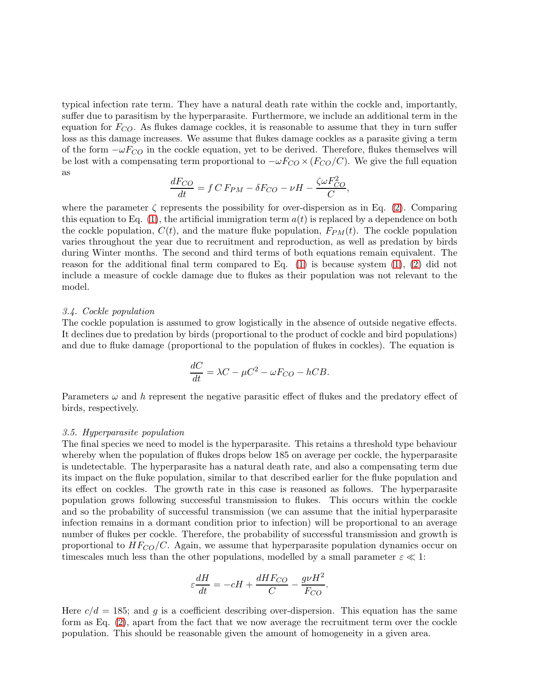typical infection rate term. They have a natural death rate within the cockle and, importantly, suffer due to parasitism by the hyperparasite. Furthermore, we include an additional term in the equation for  $F_{CO}$ . As flukes damage cockles, it is reasonable to assume that they in turn suffer loss as this damage increases. We assume that flukes damage cockles as a parasite giving a term of the form  $-\omega F_{CO}$  in the cockle equation, yet to be derived. Therefore, flukes themselves will be lost with a compensating term proportional to  $-\omega F_{CO} \times (F_{CO}/C)$ . We give the full equation as

$$
\frac{dF_{CO}}{dt} = f C F_{PM} - \delta F_{CO} - \nu H - \frac{\zeta \omega F_{CO}^2}{C},
$$

where the parameter  $\zeta$  represents the possibility for over-dispersion as in Eq. [\(2\)](#page-4-0). Comparing this equation to Eq. [\(1\)](#page-4-0), the artificial immigration term  $a(t)$  is replaced by a dependence on both the cockle population,  $C(t)$ , and the mature fluke population,  $F_{PM}(t)$ . The cockle population varies throughout the year due to recruitment and reproduction, as well as predation by birds during Winter months. The second and third terms of both equations remain equivalent. The reason for the additional final term compared to Eq. [\(1\)](#page-4-0) is because system [\(1\)](#page-4-0), [\(2\)](#page-4-0) did not include a measure of cockle damage due to flukes as their population was not relevant to the model.

# 3.4. Cockle population

The cockle population is assumed to grow logistically in the absence of outside negative effects. It declines due to predation by birds (proportional to the product of cockle and bird populations) and due to fluke damage (proportional to the population of flukes in cockles). The equation is

$$
\frac{dC}{dt} = \lambda C - \mu C^2 - \omega F_{CO} - hCB.
$$

Parameters  $\omega$  and h represent the negative parasitic effect of flukes and the predatory effect of birds, respectively.

## 3.5. Hyperparasite population

The final species we need to model is the hyperparasite. This retains a threshold type behaviour whereby when the population of flukes drops below 185 on average per cockle, the hyperparasite is undetectable. The hyperparasite has a natural death rate, and also a compensating term due its impact on the fluke population, similar to that described earlier for the fluke population and its effect on cockles. The growth rate in this case is reasoned as follows. The hyperparasite population grows following successful transmission to flukes. This occurs within the cockle and so the probability of successful transmission (we can assume that the initial hyperparasite infection remains in a dormant condition prior to infection) will be proportional to an average number of flukes per cockle. Therefore, the probability of successful transmission and growth is proportional to  $HF_{CO}/C$ . Again, we assume that hyperparasite population dynamics occur on timescales much less than the other populations, modelled by a small parameter  $\varepsilon \ll 1$ :

$$
\varepsilon \frac{dH}{dt} = -cH + \frac{dHF_{CO}}{C} - \frac{g\nu H^2}{F_{CO}}.
$$

Here  $c/d = 185$ ; and g is a coefficient describing over-dispersion. This equation has the same form as Eq. [\(2\)](#page-4-0), apart from the fact that we now average the recruitment term over the cockle population. This should be reasonable given the amount of homogeneity in a given area.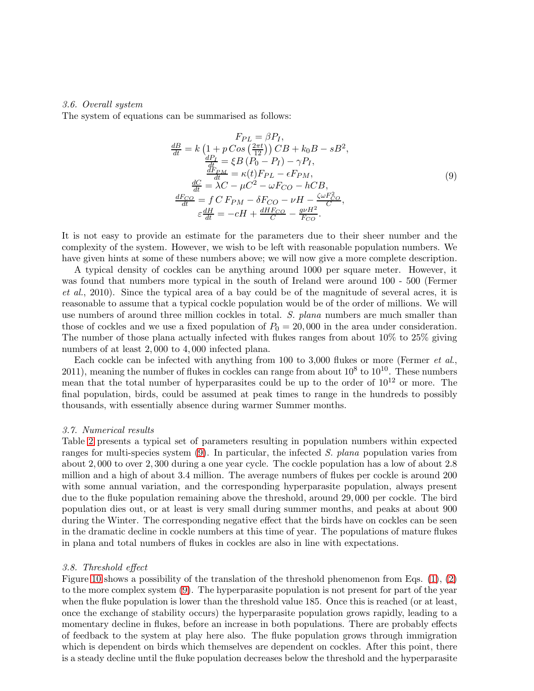# 3.6. Overall system

The system of equations can be summarised as follows:

<span id="page-17-0"></span>
$$
F_{PL} = \beta P_I,
$$
\n
$$
\frac{dB}{dt} = k \left( 1 + p \cos\left(\frac{2\pi t}{12}\right) \right) CB + k_0 B - sB^2,
$$
\n
$$
\frac{dP_I}{dt} = \xi B \left( P_0 - P_I \right) - \gamma P_I,
$$
\n
$$
\frac{dF_{PM}}{dt} = \kappa(t) F_{PL} - \epsilon F_{PM},
$$
\n
$$
\frac{dC}{dt} = \lambda C - \mu C^2 - \omega F_{CO} - hCB,
$$
\n
$$
\frac{dF_{CO}}{dt} = f \, C \, F_{PM} - \delta F_{CO} - \nu H - \frac{\zeta \omega F_{CO}^2}{C},
$$
\n
$$
\varepsilon \frac{dH}{dt} = -cH + \frac{dH F_{CO}}{C} - \frac{g\nu H^2}{F_{CO}}.
$$
\n(9)

It is not easy to provide an estimate for the parameters due to their sheer number and the complexity of the system. However, we wish to be left with reasonable population numbers. We have given hints at some of these numbers above; we will now give a more complete description.

A typical density of cockles can be anything around 1000 per square meter. However, it was found that numbers more typical in the south of Ireland were around 100 - 500 (Fermer et al., 2010). Since the typical area of a bay could be of the magnitude of several acres, it is reasonable to assume that a typical cockle population would be of the order of millions. We will use numbers of around three million cockles in total. S. plana numbers are much smaller than those of cockles and we use a fixed population of  $P_0 = 20,000$  in the area under consideration. The number of those plana actually infected with flukes ranges from about 10% to 25% giving numbers of at least 2,000 to 4,000 infected plana.

Each cockle can be infected with anything from 100 to 3,000 flukes or more (Fermer et al., 2011), meaning the number of flukes in cockles can range from about  $10^8$  to  $10^{10}$ . These numbers mean that the total number of hyperparasites could be up to the order of  $10^{12}$  or more. The final population, birds, could be assumed at peak times to range in the hundreds to possibly thousands, with essentially absence during warmer Summer months.

# 3.7. Numerical results

Table [2](#page-22-0) presents a typical set of parameters resulting in population numbers within expected ranges for multi-species system [\(9\)](#page-17-0). In particular, the infected S. plana population varies from about 2, 000 to over 2, 300 during a one year cycle. The cockle population has a low of about 2.8 million and a high of about 3.4 million. The average numbers of flukes per cockle is around 200 with some annual variation, and the corresponding hyperparasite population, always present due to the fluke population remaining above the threshold, around 29, 000 per cockle. The bird population dies out, or at least is very small during summer months, and peaks at about 900 during the Winter. The corresponding negative effect that the birds have on cockles can be seen in the dramatic decline in cockle numbers at this time of year. The populations of mature flukes in plana and total numbers of flukes in cockles are also in line with expectations.

## 3.8. Threshold effect

Figure [10](#page-18-0) shows a possibility of the translation of the threshold phenomenon from Eqs. [\(1\)](#page-4-0), [\(2\)](#page-4-0) to the more complex system [\(9\)](#page-17-0). The hyperparasite population is not present for part of the year when the fluke population is lower than the threshold value 185. Once this is reached (or at least, once the exchange of stability occurs) the hyperparasite population grows rapidly, leading to a momentary decline in flukes, before an increase in both populations. There are probably effects of feedback to the system at play here also. The fluke population grows through immigration which is dependent on birds which themselves are dependent on cockles. After this point, there is a steady decline until the fluke population decreases below the threshold and the hyperparasite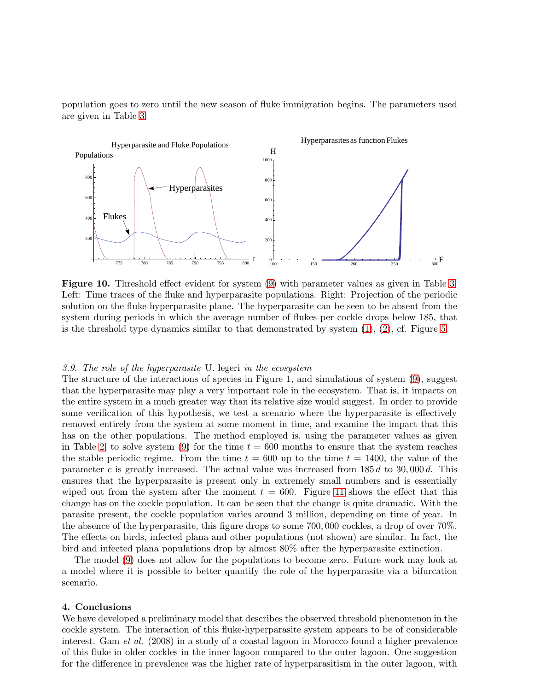population goes to zero until the new season of fluke immigration begins. The parameters used are given in Table [3.](#page-23-0)



<span id="page-18-0"></span>Figure 10. Threshold effect evident for system [\(9\)](#page-17-0) with parameter values as given in Table [3.](#page-23-0) Left: Time traces of the fluke and hyperparasite populations. Right: Projection of the periodic solution on the fluke-hyperparasite plane. The hyperparasite can be seen to be absent from the system during periods in which the average number of flukes per cockle drops below 185, that is the threshold type dynamics similar to that demonstrated by system  $(1), (2),$  $(1), (2),$  $(1), (2),$  cf. Figure [5.](#page-9-0)

## 3.9. The role of the hyperparasite U. legeri in the ecosystem

The structure of the interactions of species in Figure 1, and simulations of system [\(9\)](#page-17-0), suggest that the hyperparasite may play a very important role in the ecosystem. That is, it impacts on the entire system in a much greater way than its relative size would suggest. In order to provide some verification of this hypothesis, we test a scenario where the hyperparasite is effectively removed entirely from the system at some moment in time, and examine the impact that this has on the other populations. The method employed is, using the parameter values as given in Table [2,](#page-22-0) to solve system [\(9\)](#page-17-0) for the time  $t = 600$  months to ensure that the system reaches the stable periodic regime. From the time  $t = 600$  up to the time  $t = 1400$ , the value of the parameter c is greatly increased. The actual value was increased from  $185 d$  to  $30,000 d$ . This ensures that the hyperparasite is present only in extremely small numbers and is essentially wiped out from the system after the moment  $t = 600$ . Figure [11](#page-19-0) shows the effect that this change has on the cockle population. It can be seen that the change is quite dramatic. With the parasite present, the cockle population varies around 3 million, depending on time of year. In the absence of the hyperparasite, this figure drops to some 700, 000 cockles, a drop of over 70%. The effects on birds, infected plana and other populations (not shown) are similar. In fact, the bird and infected plana populations drop by almost 80% after the hyperparasite extinction.

The model [\(9\)](#page-17-0) does not allow for the populations to become zero. Future work may look at a model where it is possible to better quantify the role of the hyperparasite via a bifurcation scenario.

# 4. Conclusions

We have developed a preliminary model that describes the observed threshold phenomenon in the cockle system. The interaction of this fluke-hyperparasite system appears to be of considerable interest. Gam *et al.* (2008) in a study of a coastal lagoon in Morocco found a higher prevalence of this fluke in older cockles in the inner lagoon compared to the outer lagoon. One suggestion for the difference in prevalence was the higher rate of hyperparasitism in the outer lagoon, with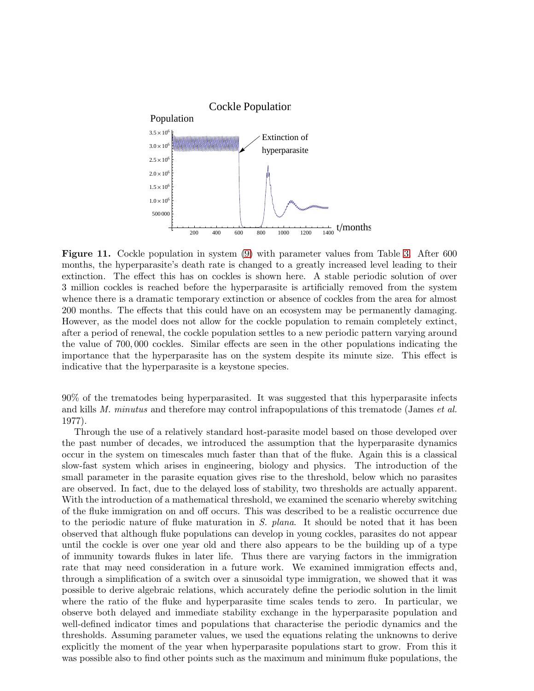

<span id="page-19-0"></span>Figure 11. Cockle population in system [\(9\)](#page-17-0) with parameter values from Table [3.](#page-23-0) After 600 months, the hyperparasite's death rate is changed to a greatly increased level leading to their extinction. The effect this has on cockles is shown here. A stable periodic solution of over 3 million cockles is reached before the hyperparasite is artificially removed from the system whence there is a dramatic temporary extinction or absence of cockles from the area for almost 200 months. The effects that this could have on an ecosystem may be permanently damaging. However, as the model does not allow for the cockle population to remain completely extinct, after a period of renewal, the cockle population settles to a new periodic pattern varying around the value of 700, 000 cockles. Similar effects are seen in the other populations indicating the importance that the hyperparasite has on the system despite its minute size. This effect is indicative that the hyperparasite is a keystone species.

90% of the trematodes being hyperparasited. It was suggested that this hyperparasite infects and kills M. minutus and therefore may control infrapopulations of this trematode (James *et al.*) 1977).

Through the use of a relatively standard host-parasite model based on those developed over the past number of decades, we introduced the assumption that the hyperparasite dynamics occur in the system on timescales much faster than that of the fluke. Again this is a classical slow-fast system which arises in engineering, biology and physics. The introduction of the small parameter in the parasite equation gives rise to the threshold, below which no parasites are observed. In fact, due to the delayed loss of stability, two thresholds are actually apparent. With the introduction of a mathematical threshold, we examined the scenario whereby switching of the fluke immigration on and off occurs. This was described to be a realistic occurrence due to the periodic nature of fluke maturation in S. plana. It should be noted that it has been observed that although fluke populations can develop in young cockles, parasites do not appear until the cockle is over one year old and there also appears to be the building up of a type of immunity towards flukes in later life. Thus there are varying factors in the immigration rate that may need consideration in a future work. We examined immigration effects and, through a simplification of a switch over a sinusoidal type immigration, we showed that it was possible to derive algebraic relations, which accurately define the periodic solution in the limit where the ratio of the fluke and hyperparasite time scales tends to zero. In particular, we observe both delayed and immediate stability exchange in the hyperparasite population and well-defined indicator times and populations that characterise the periodic dynamics and the thresholds. Assuming parameter values, we used the equations relating the unknowns to derive explicitly the moment of the year when hyperparasite populations start to grow. From this it was possible also to find other points such as the maximum and minimum fluke populations, the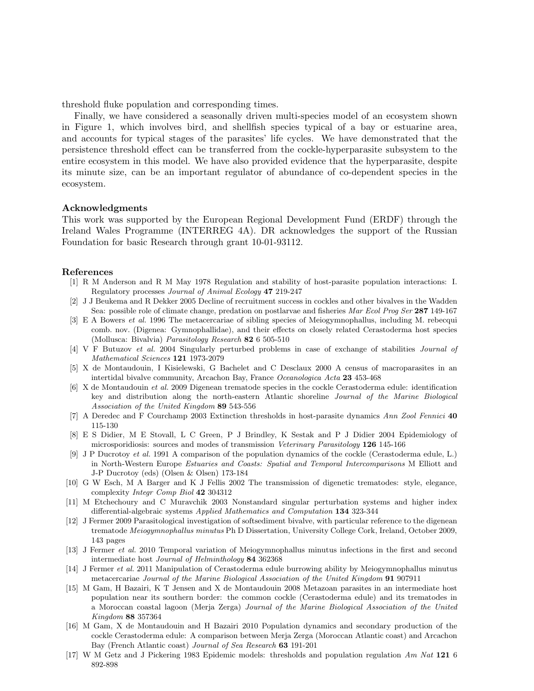threshold fluke population and corresponding times.

Finally, we have considered a seasonally driven multi-species model of an ecosystem shown in Figure 1, which involves bird, and shellfish species typical of a bay or estuarine area, and accounts for typical stages of the parasites' life cycles. We have demonstrated that the persistence threshold effect can be transferred from the cockle-hyperparasite subsystem to the entire ecosystem in this model. We have also provided evidence that the hyperparasite, despite its minute size, can be an important regulator of abundance of co-dependent species in the ecosystem.

# Acknowledgments

This work was supported by the European Regional Development Fund (ERDF) through the Ireland Wales Programme (INTERREG 4A). DR acknowledges the support of the Russian Foundation for basic Research through grant 10-01-93112.

# References

- [1] R M Anderson and R M May 1978 Regulation and stability of host-parasite population interactions: I. Regulatory processes *Journal of Animal Ecology* 47 219-247
- [2] J J Beukema and R Dekker 2005 Decline of recruitment success in cockles and other bivalves in the Wadden Sea: possible role of climate change, predation on postlarvae and fisheries *Mar Ecol Prog Ser* 287 149-167
- [3] E A Bowers *et al.* 1996 The metacercariae of sibling species of Meiogymnophallus, including M. rebecqui comb. nov. (Digenea: Gymnophallidae), and their effects on closely related Cerastoderma host species (Mollusca: Bivalvia) *Parasitology Research* 82 6 505-510
- [4] V F Butuzov *et al.* 2004 Singularly perturbed problems in case of exchange of stabilities *Journal of Mathematical Sciences* 121 1973-2079
- [5] X de Montaudouin, I Kisielewski, G Bachelet and C Desclaux 2000 A census of macroparasites in an intertidal bivalve community, Arcachon Bay, France *Oceanologica Acta* 23 453-468
- [6] X de Montaudouin *et al.* 2009 Digenean trematode species in the cockle Cerastoderma edule: identification key and distribution along the north-eastern Atlantic shoreline *Journal of the Marine Biological Association of the United Kingdom* 89 543-556
- [7] A Deredec and F Courchamp 2003 Extinction thresholds in host-parasite dynamics *Ann Zool Fennici* 40 115-130
- [8] E S Didier, M E Stovall, L C Green, P J Brindley, K Sestak and P J Didier 2004 Epidemiology of microsporidiosis: sources and modes of transmission *Veterinary Parasitology* 126 145-166
- [9] J P Ducrotoy *et al.* 1991 A comparison of the population dynamics of the cockle (Cerastoderma edule, L.) in North-Western Europe *Estuaries and Coasts: Spatial and Temporal Intercomparisons* M Elliott and J-P Ducrotoy (eds) (Olsen & Olsen) 173-184
- [10] G W Esch, M A Barger and K J Fellis 2002 The transmission of digenetic trematodes: style, elegance, complexity *Integr Comp Biol* 42 304312
- [11] M Etchechoury and C Muravchik 2003 Nonstandard singular perturbation systems and higher index differential-algebraic systems *Applied Mathematics and Computation* 134 323-344
- [12] J Fermer 2009 Parasitological investigation of softsediment bivalve, with particular reference to the digenean trematode *Meiogymnophallus minutus* Ph D Dissertation, University College Cork, Ireland, October 2009, 143 pages
- [13] J Fermer *et al.* 2010 Temporal variation of Meiogymnophallus minutus infections in the first and second intermediate host *Journal of Helminthology* 84 362368
- [14] J Fermer *et al.* 2011 Manipulation of Cerastoderma edule burrowing ability by Meiogymnophallus minutus metacercariae *Journal of the Marine Biological Association of the United Kingdom* 91 907911
- [15] M Gam, H Bazairi, K T Jensen and X de Montaudouin 2008 Metazoan parasites in an intermediate host population near its southern border: the common cockle (Cerastoderma edule) and its trematodes in a Moroccan coastal lagoon (Merja Zerga) *Journal of the Marine Biological Association of the United Kingdom* 88 357364
- [16] M Gam, X de Montaudouin and H Bazairi 2010 Population dynamics and secondary production of the cockle Cerastoderma edule: A comparison between Merja Zerga (Moroccan Atlantic coast) and Arcachon Bay (French Atlantic coast) *Journal of Sea Research* 63 191-201
- [17] W M Getz and J Pickering 1983 Epidemic models: thresholds and population regulation *Am Nat* 121 6 892-898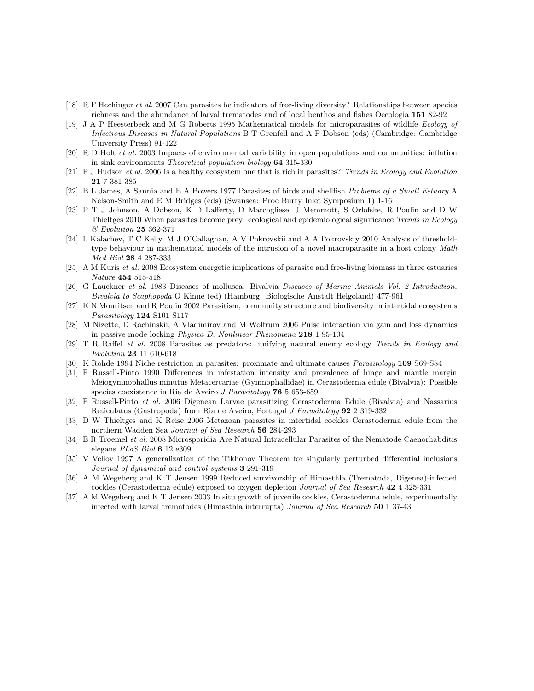- [18] R F Hechinger *et al.* 2007 Can parasites be indicators of free-living diversity? Relationships between species richness and the abundance of larval trematodes and of local benthos and fishes Oecologia 151 82-92
- [19] J A P Heesterbeek and M G Roberts 1995 Mathematical models for microparasites of wildlife *Ecology of Infectious Diseases in Natural Populations* B T Grenfell and A P Dobson (eds) (Cambridge: Cambridge University Press) 91-122
- [20] R D Holt *et al.* 2003 Impacts of environmental variability in open populations and communities: inflation in sink environments *Theoretical population biology* 64 315-330
- [21] P J Hudson *et al.* 2006 Is a healthy ecosystem one that is rich in parasites? *Trends in Ecology and Evolution* 21 7 381-385
- [22] B L James, A Sannia and E A Bowers 1977 Parasites of birds and shellfish *Problems of a Small Estuary* A Nelson-Smith and E M Bridges (eds) (Swansea: Proc Burry Inlet Symposium 1) 1-16
- [23] P T J Johnson, A Dobson, K D Lafferty, D Marcogliese, J Memmott, S Orlofske, R Poulin and D W Thieltges 2010 When parasites become prey: ecological and epidemiological significance *Trends in Ecology & Evolution* 25 362-371
- [24] L Kalachev, T C Kelly, M J O'Callaghan, A V Pokrovskii and A A Pokrovskiy 2010 Analysis of thresholdtype behaviour in mathematical models of the intrusion of a novel macroparasite in a host colony *Math Med Biol* 28 4 287-333
- [25] A M Kuris *et al.* 2008 Ecosystem energetic implications of parasite and free-living biomass in three estuaries *Nature* 454 515-518
- [26] G Lauckner *et al.* 1983 Diseases of mollusca: Bivalvia *Diseases of Marine Animals Vol. 2 Introduction, Bivalvia to Scaphopoda* O Kinne (ed) (Hamburg: Biologische Anstalt Helgoland) 477-961
- [27] K N Mouritsen and R Poulin 2002 Parasitism, community structure and biodiversity in intertidal ecosystems *Parasitology* 124 S101-S117
- [28] M Nizette, D Rachinskii, A Vladimirov and M Wolfrum 2006 Pulse interaction via gain and loss dynamics in passive mode locking *Physica D: Nonlinear Phenomena* 218 1 95-104
- [29] T R Raffel *et al.* 2008 Parasites as predators: unifying natural enemy ecology *Trends in Ecology and Evolution* 23 11 610-618
- [30] K Rohde 1994 Niche restriction in parasites: proximate and ultimate causes *Parasitology* 109 S69-S84
- [31] F Russell-Pinto 1990 Differences in infestation intensity and prevalence of hinge and mantle margin Meiogymnophallus minutus Metacercariae (Gymnophallidae) in Cerastoderma edule (Bivalvia): Possible species coexistence in Ria de Aveiro *J Parasitology* 76 5 653-659
- [32] F Russell-Pinto *et al.* 2006 Digenean Larvae parasitizing Cerastoderma Edule (Bivalvia) and Nassarius Reticulatus (Gastropoda) from Ria de Aveiro, Portugal *J Parasitology* 92 2 319-332
- [33] D W Thieltges and K Reise 2006 Metazoan parasites in intertidal cockles Cerastoderma edule from the northern Wadden Sea *Journal of Sea Research* 56 284-293
- [34] E R Troemel *et al.* 2008 Microsporidia Are Natural Intracellular Parasites of the Nematode Caenorhabditis elegans *PLoS Biol* 6 12 e309
- [35] V Veliov 1997 A generalization of the Tikhonov Theorem for singularly perturbed differential inclusions *Journal of dynamical and control systems* 3 291-319
- [36] A M Wegeberg and K T Jensen 1999 Reduced survivorship of Himasthla (Trematoda, Digenea)-infected cockles (Cerastoderma edule) exposed to oxygen depletion *Journal of Sea Research* 42 4 325-331
- [37] A M Wegeberg and K T Jensen 2003 In situ growth of juvenile cockles, Cerastoderma edule, experimentally infected with larval trematodes (Himasthla interrupta) *Journal of Sea Research* 50 1 37-43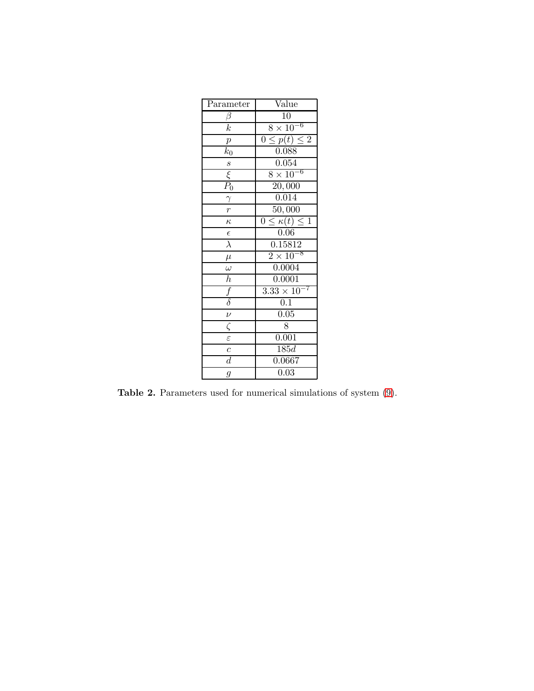| Parameter            | Value                                     |
|----------------------|-------------------------------------------|
| $\beta$              | $\overline{10}$                           |
| $\overline{k}$       | $8 \times 10^{-6}$                        |
| $\overline{p}$       | $0 \leq p(t) \leq 2$                      |
| $k_0$                | 0.088                                     |
| $\frac{s}{\xi}$      | 0.054                                     |
|                      | $8 \times 10^{-6}$                        |
|                      | $\sqrt{20,000}$                           |
| $\frac{\gamma}{r}$   | 0.014                                     |
|                      | 50,000                                    |
| $\kappa$             | $\leq \kappa(t) \leq 1$<br>$\overline{0}$ |
| $\epsilon$           | 0.06                                      |
| $\overline{\lambda}$ | 0.15812                                   |
| $\mu$                | $2\times10^{-8}$                          |
| $\frac{1}{\omega}$   | 0.0004                                    |
| $\overline{h}$       | 0.0001                                    |
| $\frac{f}{\delta}$   | $\overline{3.33\times10}$                 |
|                      | $\overline{0.1}$                          |
| $\overline{\nu}$     | $\overline{0.05}$                         |
| $\zeta$              | 8                                         |
| $\varepsilon$        | 0.001                                     |
| $\overline{c}$       | $\overline{185d}$                         |
| $\overline{d}$       | 0.0667                                    |
| $\overline{g}$       | $\overline{0.03}$                         |

<span id="page-22-0"></span>Table 2. Parameters used for numerical simulations of system [\(9\)](#page-17-0).